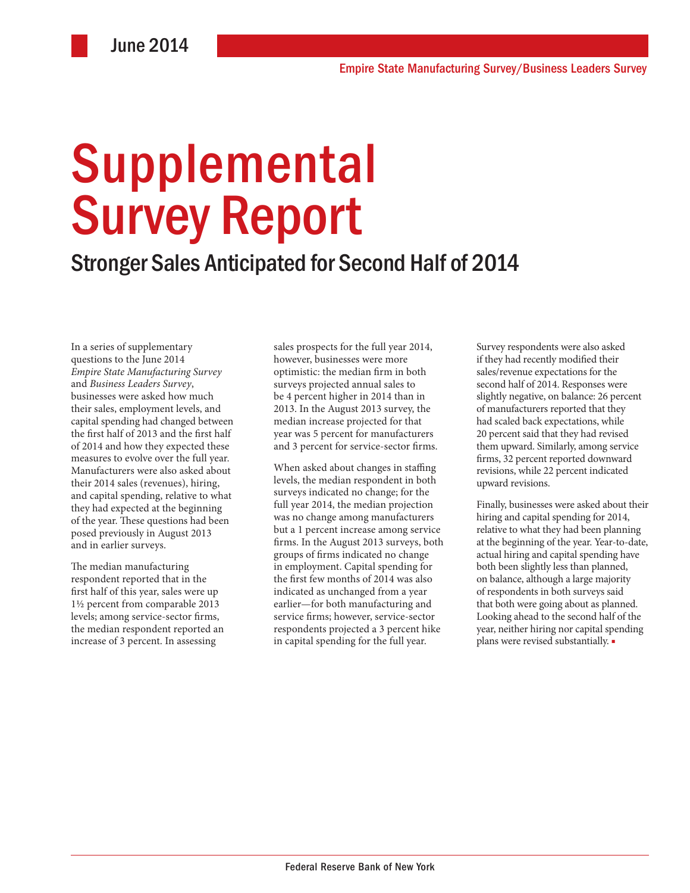# **Supplemental** Survey Report

### Stronger Sales Anticipated for Second Half of 2014

In a series of supplementary questions to the June 2014 *Empire State Manufacturing Survey*  and *Business Leaders Survey*, businesses were asked how much their sales, employment levels, and capital spending had changed between the first half of 2013 and the first half of 2014 and how they expected these measures to evolve over the full year. Manufacturers were also asked about their 2014 sales (revenues), hiring, and capital spending, relative to what they had expected at the beginning of the year. These questions had been posed previously in August 2013 and in earlier surveys.

The median manufacturing respondent reported that in the first half of this year, sales were up 1½ percent from comparable 2013 levels; among service-sector firms, the median respondent reported an increase of 3 percent. In assessing

sales prospects for the full year 2014, however, businesses were more optimistic: the median firm in both surveys projected annual sales to be 4 percent higher in 2014 than in 2013. In the August 2013 survey, the median increase projected for that year was 5 percent for manufacturers and 3 percent for service-sector firms.

When asked about changes in staffing levels, the median respondent in both surveys indicated no change; for the full year 2014, the median projection was no change among manufacturers but a 1 percent increase among service firms. In the August 2013 surveys, both groups of firms indicated no change in employment. Capital spending for the first few months of 2014 was also indicated as unchanged from a year earlier—for both manufacturing and service firms; however, service-sector respondents projected a 3 percent hike in capital spending for the full year.

Survey respondents were also asked if they had recently modified their sales/revenue expectations for the second half of 2014. Responses were slightly negative, on balance: 26 percent of manufacturers reported that they had scaled back expectations, while 20 percent said that they had revised them upward. Similarly, among service firms, 32 percent reported downward revisions, while 22 percent indicated upward revisions.

Finally, businesses were asked about their hiring and capital spending for 2014, relative to what they had been planning at the beginning of the year. Year-to-date, actual hiring and capital spending have both been slightly less than planned, on balance, although a large majority of respondents in both surveys said that both were going about as planned. Looking ahead to the second half of the year, neither hiring nor capital spending plans were revised substantially. ■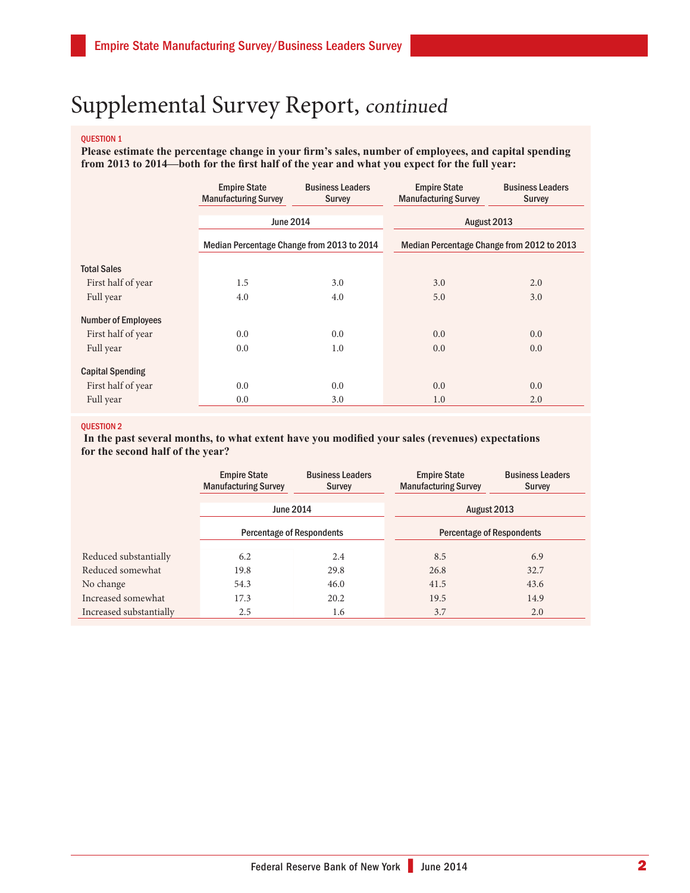#### QUESTION 1

**Please estimate the percentage change in your firm's sales, number of employees, and capital spending from 2013 to 2014—both for the first half of the year and what you expect for the full year:**

|                            | <b>Empire State</b><br><b>Manufacturing Survey</b> | <b>Business Leaders</b><br><b>Survey</b> | <b>Empire State</b><br><b>Manufacturing Survey</b> | <b>Business Leaders</b><br><b>Survey</b> |
|----------------------------|----------------------------------------------------|------------------------------------------|----------------------------------------------------|------------------------------------------|
|                            | <b>June 2014</b>                                   |                                          | August 2013                                        |                                          |
|                            | Median Percentage Change from 2013 to 2014         |                                          | Median Percentage Change from 2012 to 2013         |                                          |
| <b>Total Sales</b>         |                                                    |                                          |                                                    |                                          |
| First half of year         | 1.5                                                | 3.0                                      | 3.0                                                | 2.0                                      |
| Full year                  | 4.0                                                | 4.0                                      | 5.0                                                | 3.0                                      |
| <b>Number of Employees</b> |                                                    |                                          |                                                    |                                          |
| First half of year         | 0.0                                                | 0.0                                      | 0.0                                                | 0.0                                      |
| Full year                  | 0.0                                                | 1.0                                      | 0.0                                                | 0.0                                      |
| <b>Capital Spending</b>    |                                                    |                                          |                                                    |                                          |
| First half of year         | 0.0                                                | 0.0                                      | 0.0                                                | 0.0                                      |
| Full year                  | 0.0                                                | 3.0                                      | 1.0                                                | 2.0                                      |

#### QUESTION 2

 **In the past several months, to what extent have you modified your sales (revenues) expectations for the second half of the year?**

|                         | <b>Empire State</b><br><b>Manufacturing Survey</b> | <b>Business Leaders</b><br>Survey | <b>Empire State</b><br><b>Manufacturing Survey</b> | <b>Business Leaders</b><br>Survey |
|-------------------------|----------------------------------------------------|-----------------------------------|----------------------------------------------------|-----------------------------------|
|                         | <b>June 2014</b>                                   |                                   | August 2013                                        |                                   |
|                         | <b>Percentage of Respondents</b>                   |                                   | <b>Percentage of Respondents</b>                   |                                   |
| Reduced substantially   | 6.2                                                | 2.4                               | 8.5                                                | 6.9                               |
| Reduced somewhat        | 19.8                                               | 29.8                              | 26.8                                               | 32.7                              |
| No change               | 54.3                                               | 46.0                              | 41.5                                               | 43.6                              |
| Increased somewhat      | 17.3                                               | 20.2                              | 19.5                                               | 14.9                              |
| Increased substantially | 2.5                                                | 1.6                               | 3.7                                                | 2.0                               |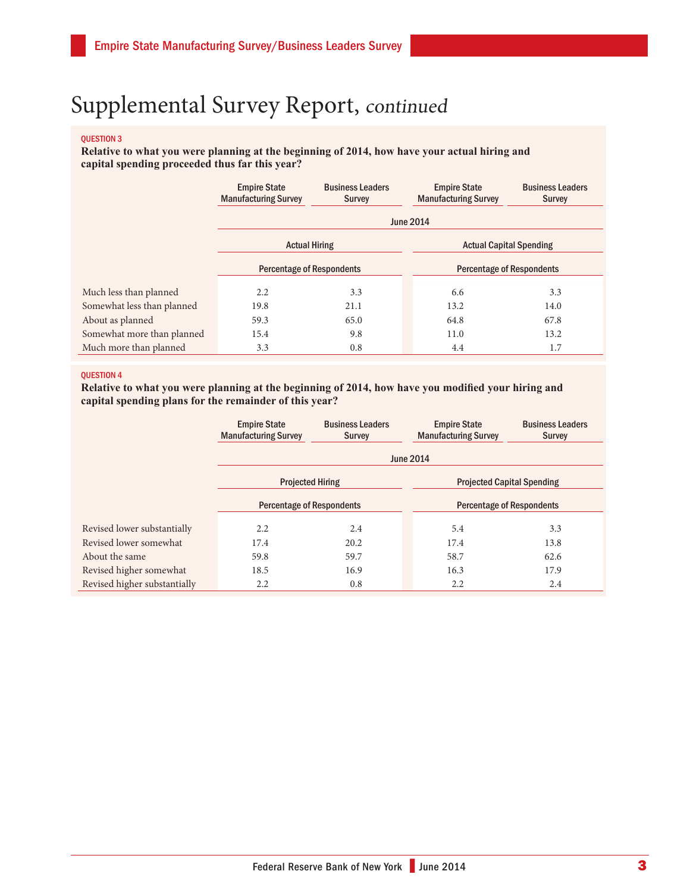#### QUESTION 3

**Relative to what you were planning at the beginning of 2014, how have your actual hiring and capital spending proceeded thus far this year?**

|                            | <b>Empire State</b><br><b>Manufacturing Survey</b> | <b>Business Leaders</b><br><b>Survey</b> | <b>Empire State</b><br><b>Manufacturing Survey</b> | <b>Business Leaders</b><br><b>Survey</b> |  |
|----------------------------|----------------------------------------------------|------------------------------------------|----------------------------------------------------|------------------------------------------|--|
|                            | <b>June 2014</b>                                   |                                          |                                                    |                                          |  |
|                            | <b>Actual Hiring</b>                               |                                          | <b>Actual Capital Spending</b>                     |                                          |  |
|                            | <b>Percentage of Respondents</b>                   |                                          | <b>Percentage of Respondents</b>                   |                                          |  |
| Much less than planned     | 2.2                                                | 3.3                                      | 6.6                                                | 3.3                                      |  |
| Somewhat less than planned | 19.8                                               | 21.1                                     | 13.2                                               | 14.0                                     |  |
| About as planned           | 59.3                                               | 65.0                                     | 64.8                                               | 67.8                                     |  |
| Somewhat more than planned | 15.4                                               | 9.8                                      | 11.0                                               | 13.2                                     |  |
| Much more than planned     | 3.3                                                | 0.8                                      | 4.4                                                | 1.7                                      |  |

#### QUESTION 4

**Relative to what you were planning at the beginning of 2014, how have you modified your hiring and capital spending plans for the remainder of this year?**

|                              | <b>Empire State</b><br><b>Manufacturing Survey</b> | <b>Business Leaders</b><br><b>Survey</b> | <b>Empire State</b><br><b>Manufacturing Survey</b> | <b>Business Leaders</b><br><b>Survey</b> |  |
|------------------------------|----------------------------------------------------|------------------------------------------|----------------------------------------------------|------------------------------------------|--|
|                              | <b>June 2014</b>                                   |                                          |                                                    |                                          |  |
|                              | <b>Projected Hiring</b>                            |                                          | <b>Projected Capital Spending</b>                  |                                          |  |
|                              | <b>Percentage of Respondents</b>                   |                                          | <b>Percentage of Respondents</b>                   |                                          |  |
| Revised lower substantially  | 2.2                                                | 2.4                                      | 5.4                                                | 3.3                                      |  |
| Revised lower somewhat       | 17.4                                               | 20.2                                     | 17.4                                               | 13.8                                     |  |
| About the same               | 59.8                                               | 59.7                                     | 58.7                                               | 62.6                                     |  |
| Revised higher somewhat      | 18.5                                               | 16.9                                     | 16.3                                               | 17.9                                     |  |
| Revised higher substantially | 2.2                                                | 0.8                                      | 2.2                                                | 2.4                                      |  |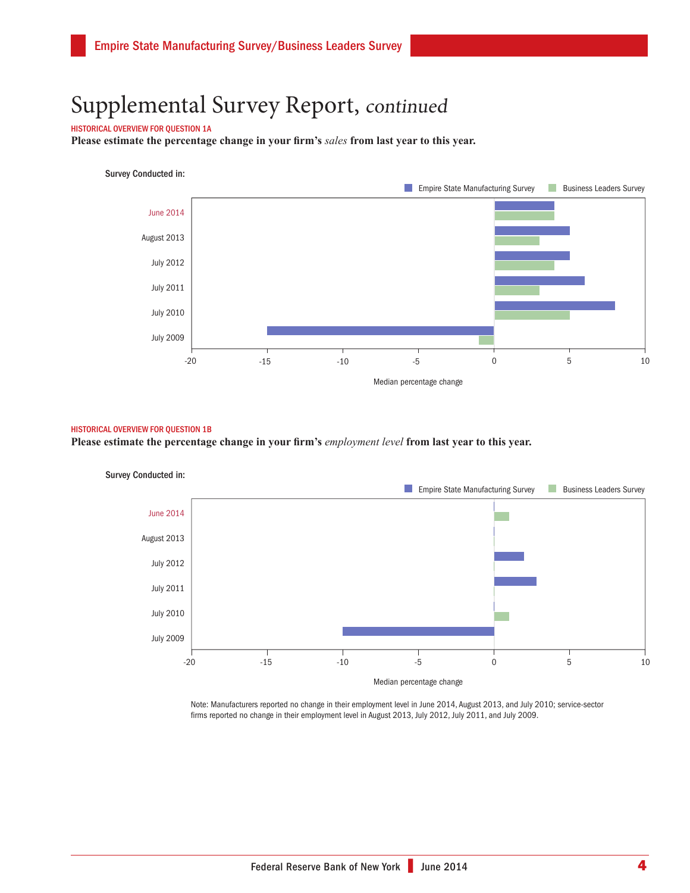#### HISTORICAL OVERVIEW FOR QUESTION 1A

**Please estimate the percentage change in your firm's** *sales* **from last year to this year.**

#### Survey Conducted in:



#### HISTORICAL OVERVIEW FOR QUESTION 1B

**Please estimate the percentage change in your firm's** *employment level* **from last year to this year.** 



Note: Manufacturers reported no change in their employment level in June 2014, August 2013, and July 2010; service-sector firms reported no change in their employment level in August 2013, July 2012, July 2011, and July 2009.